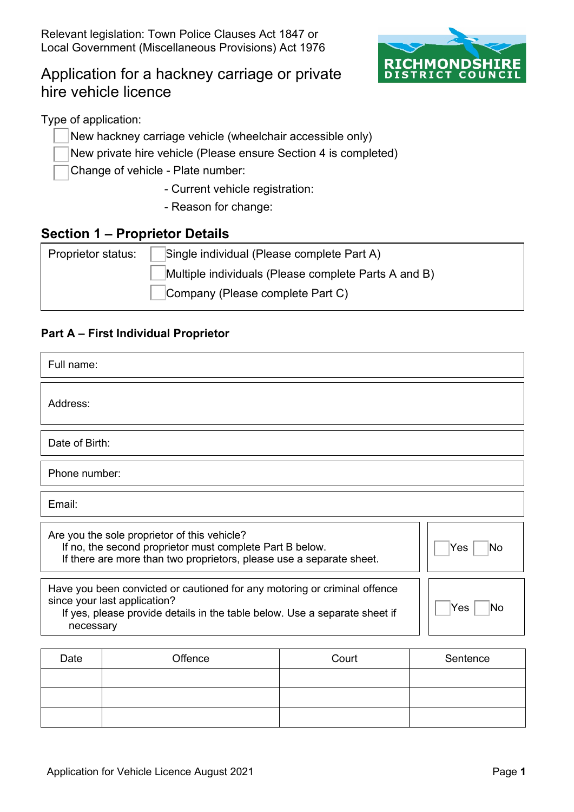

# Application for a hackney carriage or private hire vehicle licence

Type of application:

- New hackney carriage vehicle (wheelchair accessible only)
- New private hire vehicle (Please ensure Section 4 is completed)

Change of vehicle - Plate number:

- Current vehicle registration:
- Reason for change:

### **Section 1 – Proprietor Details**

| Proprietor status: | Single individual (Please complete Part A)           |  |  |
|--------------------|------------------------------------------------------|--|--|
|                    | Multiple individuals (Please complete Parts A and B) |  |  |
|                    | Company (Please complete Part C)                     |  |  |

#### **Part A – First Individual Proprietor**

| Full name:                                                                                                                                                                                                        |                                                                                                                                                                                  |                |           |  |
|-------------------------------------------------------------------------------------------------------------------------------------------------------------------------------------------------------------------|----------------------------------------------------------------------------------------------------------------------------------------------------------------------------------|----------------|-----------|--|
| Address:                                                                                                                                                                                                          |                                                                                                                                                                                  |                |           |  |
| Date of Birth:                                                                                                                                                                                                    |                                                                                                                                                                                  |                |           |  |
| Phone number:                                                                                                                                                                                                     |                                                                                                                                                                                  |                |           |  |
| Email:                                                                                                                                                                                                            |                                                                                                                                                                                  |                |           |  |
|                                                                                                                                                                                                                   | Are you the sole proprietor of this vehicle?<br>If no, the second proprietor must complete Part B below.<br>If there are more than two proprietors, please use a separate sheet. |                | Yes<br>No |  |
| Have you been convicted or cautioned for any motoring or criminal offence<br>since your last application?<br>Yes<br>No<br>If yes, please provide details in the table below. Use a separate sheet if<br>necessary |                                                                                                                                                                                  |                |           |  |
| Date                                                                                                                                                                                                              | <b>Offonce</b>                                                                                                                                                                   | $C_{\Omega I}$ | Santanca  |  |

| Date | Offence | Court | Sentence |
|------|---------|-------|----------|
|      |         |       |          |
|      |         |       |          |
|      |         |       |          |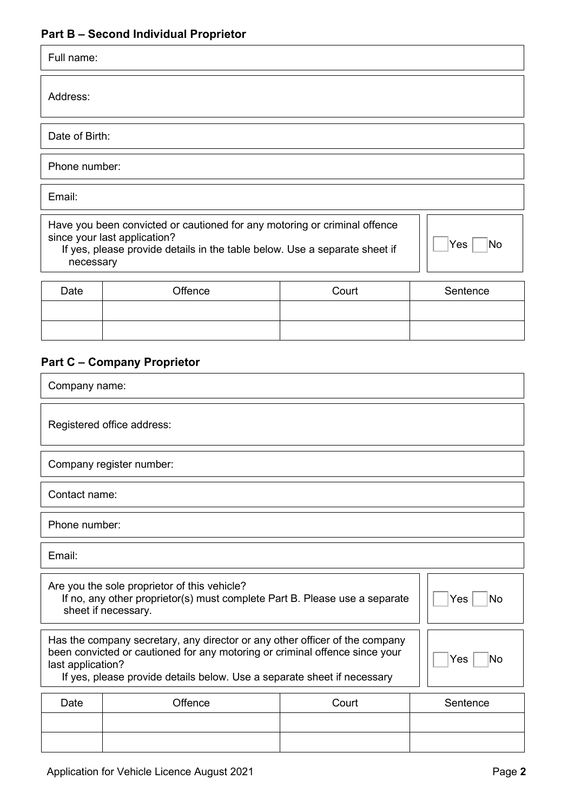| Full name:                                                                                                                                                                                                                                                              | <b>Part B - Second Individual Proprietor</b>                                                                                                                                            |       |  |           |
|-------------------------------------------------------------------------------------------------------------------------------------------------------------------------------------------------------------------------------------------------------------------------|-----------------------------------------------------------------------------------------------------------------------------------------------------------------------------------------|-------|--|-----------|
| Address:                                                                                                                                                                                                                                                                |                                                                                                                                                                                         |       |  |           |
| Date of Birth:                                                                                                                                                                                                                                                          |                                                                                                                                                                                         |       |  |           |
| Phone number:                                                                                                                                                                                                                                                           |                                                                                                                                                                                         |       |  |           |
| Email:                                                                                                                                                                                                                                                                  |                                                                                                                                                                                         |       |  |           |
| necessary                                                                                                                                                                                                                                                               | Have you been convicted or cautioned for any motoring or criminal offence<br>since your last application?<br>If yes, please provide details in the table below. Use a separate sheet if |       |  | Yes<br>No |
| Date                                                                                                                                                                                                                                                                    | Offence                                                                                                                                                                                 | Court |  | Sentence  |
|                                                                                                                                                                                                                                                                         |                                                                                                                                                                                         |       |  |           |
| Company name:                                                                                                                                                                                                                                                           | <b>Part C - Company Proprietor</b>                                                                                                                                                      |       |  |           |
|                                                                                                                                                                                                                                                                         | Registered office address:                                                                                                                                                              |       |  |           |
|                                                                                                                                                                                                                                                                         | Company register number:                                                                                                                                                                |       |  |           |
| Contact name:                                                                                                                                                                                                                                                           |                                                                                                                                                                                         |       |  |           |
| Phone number:                                                                                                                                                                                                                                                           |                                                                                                                                                                                         |       |  |           |
| Email:                                                                                                                                                                                                                                                                  |                                                                                                                                                                                         |       |  |           |
|                                                                                                                                                                                                                                                                         | Are you the sole proprietor of this vehicle?<br>If no, any other proprietor(s) must complete Part B. Please use a separate<br>sheet if necessary.                                       |       |  | Yes<br>No |
| Has the company secretary, any director or any other officer of the company<br>been convicted or cautioned for any motoring or criminal offence since your<br>Yes<br>No<br>last application?<br>If yes, please provide details below. Use a separate sheet if necessary |                                                                                                                                                                                         |       |  |           |

| Date | Offence | Court | Sentence |
|------|---------|-------|----------|
|      |         |       |          |
|      |         |       |          |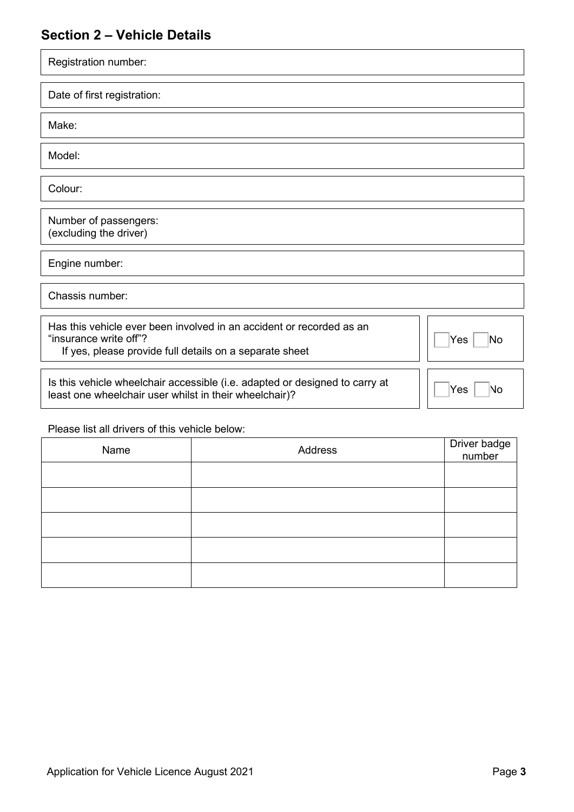# **Section 2 – Vehicle Details**

| Registration number:                                                                                                                                                   |
|------------------------------------------------------------------------------------------------------------------------------------------------------------------------|
| Date of first registration:                                                                                                                                            |
| Make:                                                                                                                                                                  |
| Model:                                                                                                                                                                 |
| Colour:                                                                                                                                                                |
| Number of passengers:<br>(excluding the driver)                                                                                                                        |
| Engine number:                                                                                                                                                         |
| Chassis number:                                                                                                                                                        |
| Has this vehicle ever been involved in an accident or recorded as an<br>"insurance write off"?<br>Yes<br>No<br>If yes, please provide full details on a separate sheet |

Is this vehicle wheelchair accessible (i.e. adapted or designed to carry at least one wheelchair user whilst in their wheelchair)?

| ≀Yes | No |
|------|----|

Please list all drivers of this vehicle below:

| Name | Address | Driver badge<br>number |
|------|---------|------------------------|
|      |         |                        |
|      |         |                        |
|      |         |                        |
|      |         |                        |
|      |         |                        |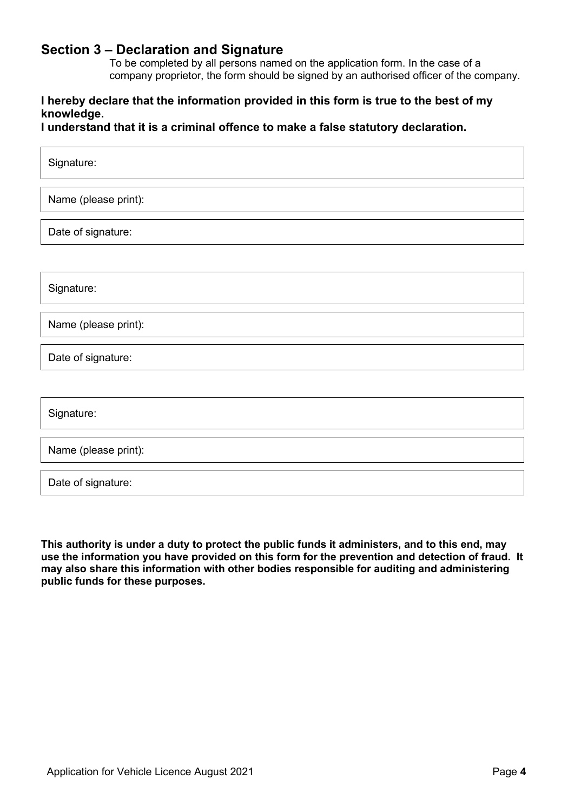### **Section 3 – Declaration and Signature**

To be completed by all persons named on the application form. In the case of a company proprietor, the form should be signed by an authorised officer of the company.

#### **I hereby declare that the information provided in this form is true to the best of my knowledge.**

**I understand that it is a criminal offence to make a false statutory declaration.** 

| Signature:           |
|----------------------|
| Name (please print): |
| Date of signature:   |
|                      |
| Signature:           |
| Name (please print): |
| Date of signature:   |
|                      |
| Signature:           |
| Name (please print): |
| Date of signature:   |
|                      |

 **use the information you have provided on this form for the prevention and detection of fraud. It This authority is under a duty to protect the public funds it administers, and to this end, may may also share this information with other bodies responsible for auditing and administering public funds for these purposes.**